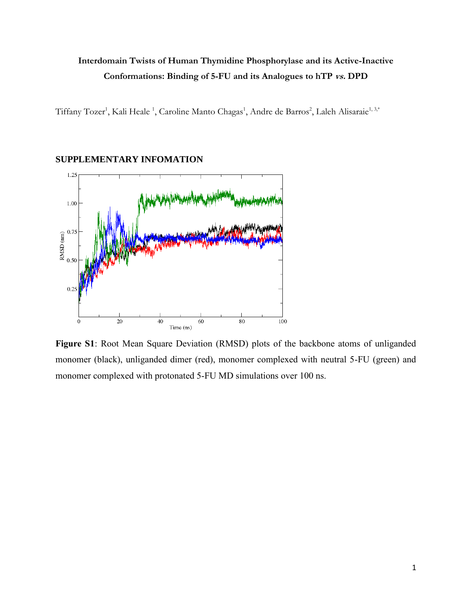## **Interdomain Twists of Human Thymidine Phosphorylase and its Active-Inactive Conformations: Binding of 5-FU and its Analogues to hTP vs. DPD**

Tiffany Tozer<sup>1</sup>, Kali Heale <sup>1</sup>, Caroline Manto Chagas<sup>1</sup>, Andre de Barros<sup>2</sup>, Laleh Alisaraie<sup>1, 3,\*</sup>

## **SUPPLEMENTARY INFOMATION**



**Figure S1**: Root Mean Square Deviation (RMSD) plots of the backbone atoms of unliganded monomer (black), unliganded dimer (red), monomer complexed with neutral 5-FU (green) and monomer complexed with protonated 5-FU MD simulations over 100 ns.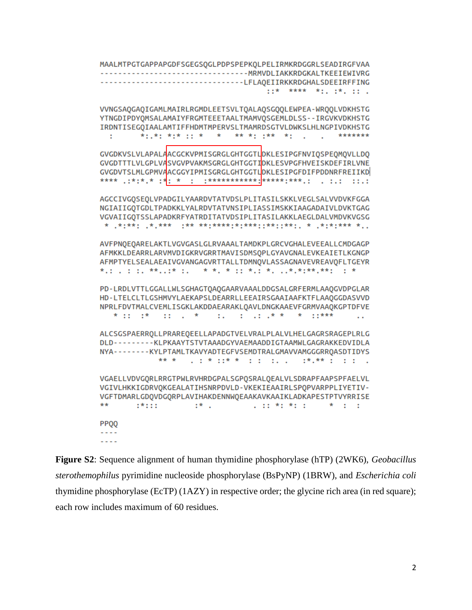MAALMTPGTGAPPAPGDFSGEGSQGLPDPSPEPKQLPELIRMKRDGGRLSEADIRGFVAA --------------------------------LFLAOEIIRKKRDGHALSDEEIRFFING  $: : \star$  \*\*\*\* \*:.  $: \star$ . :: . VVNGSAOGAOIGAMLMAIRLRGMDLEETSVLTOALAOSGOOLEWPEA-WROOLVDKHSTG YTNGDIPDYOMSALAMAIYFRGMTEEETAALTMAMVOSGEMLDLSS--IRGVKVDKHSTG IRDNTISEGOIAALAMTIFFHDMTMPERVSLTMAMRDSGTVLDWKSLHLNGPIVDKHSTG \*: .\*: \*:\* :: \* \* \*\* \*: .\*\* \*: . . . . \*\*\*\*\*\*\*  $\mathbb{Z}^n$ GVGDKVSLVLAPALAACGCKVPMISGRGLGHTGGTLOKLESIPGFNVIOSPEOMOVLLDO GVGDTTTLVLGPLVASVGVPVAKMSGRGLGHTGGTIDKLESVPGFHVEISKDEFIRLVNE GVGDVTSLMLGPMVAACGGYIPMISGRGLGHTGGTLOKLESIPGFDIFPDDNRFREIIKD \*\*\*\* .:\*:\*.\* :\*<mark>:</mark> \* : :\*\*\*\*\*\*\*\*\*\*\*\*<mark>\*\*\*\*\*\*:\*\*\*.: . ..: .:.:</mark> AGCCIVGOSEOLVPADGILYAARDVTATVDSLPLITASILSKKLVEGLSALVVDVKFGGA NGIAIIGOTGDLTPADKKLYALRDVTATVNSIPLIASSIMSKKIAAGADAIVLDVKTGAG VGVAIIGQTSSLAPADKRFYATRDITATVDSIPLITASILAKKLAEGLDALVMDVKVGSG AVFPNOEOARELAKTLVGVGASLGLRVAAALTAMDKPLGRCVGHALEVEEALLCMDGAGP AFMKKLDEARRLARVMVDIGKRVGRRTMAVISDMSQPLGYAVGNALEVKEAIETLKGNGP AFMPTYELSEALAEAIVGVANGAGVRTTALLTDMNOVLASSAGNAVEVREAVOFLTGEYR \*.: . : :, \*\*..:\* :, \* \*, \* :: \*, \* . ..\*.\*:\*\*\*.\*\*: : \* PD-LRDLVTTLGGALLWLSGHAGTOAQGAARVAAALDDGSALGRFERMLAAQGVDPGLAR HD-LTELCLTLGSHMVYLAEKAPSLDEARRLLEEAIRSGAAIAAFKTFLAA0GGDASVVD NPRLFDVTMALCVEMLISGKLAKDDAEARAKLOAVLDNGKAAEVFGRMVAAQKGPTDFVE  $*$  :: :  $*$  :: . \* ALCSGSPAERROLLPRAREOEELLAPADGTVELVRALPLALVLHELGAGRSRAGEPLRLG DLD---------KLPKAAYTSTVTAAADGYVAEMAADDIGTAAMWLGAGRAKKEDVIDLA NYA--------KYLPTAMLTKAVYADTEGFVSEMDTRALGMAVVAMGGGRRQASDTIDYS \*\* \*  $\frac{1}{2}$  ,  $\frac{1}{2}$  ,  $\frac{1}{2}$  ,  $\frac{1}{2}$  ,  $\frac{1}{2}$  ,  $\frac{1}{2}$  ,  $\frac{1}{2}$  ,  $\frac{1}{2}$  ,  $\frac{1}{2}$  ,  $\frac{1}{2}$  ,  $\frac{1}{2}$  ,  $\frac{1}{2}$  ,  $\frac{1}{2}$  ,  $\frac{1}{2}$  ,  $\frac{1}{2}$  ,  $\frac{1}{2}$  ,  $\frac{1}{2}$  ,  $\frac{1}{2}$  ,  $\frac{1$ VGAELLVDVGORLRRGTPWLRVHRDGPALSGPOSRALOEALVLSDRAPFAAPSPFAELVL VGIVLHKKIGDRVOKGEALATIHSNRPDVLD-VKEKIEAAIRLSPOPVARPPLIYETIV-VGFTDMARLGDOVDGORPLAVIHAKDENNWOEAAKAVKAAIKLADKAPESTPTVYRRISE  $\mathbb{R}^*$  .  $***$  $1*111$  $\mathbf{1}$  and  $\mathbf{2}$  and  $\mathbf{3}$  and  $\mathbf{4}$  and  $\mathbf{5}$  and  $\mathbf{5}$  and  $\mathbf{6}$  and  $\mathbf{7}$  and  $\mathbf{8}$ **PPQQ**  $- - - - - -$ 

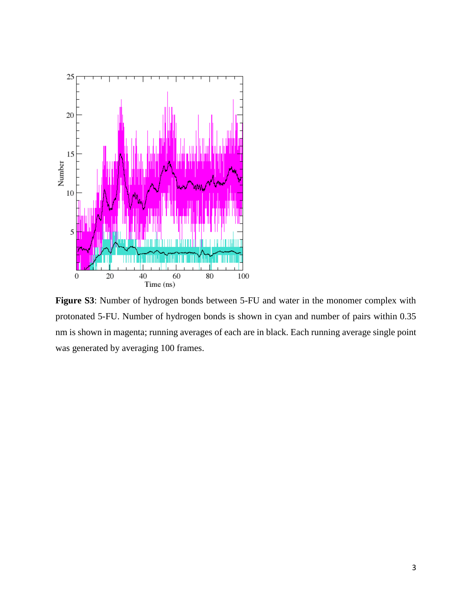

**Figure S3**: Number of hydrogen bonds between 5-FU and water in the monomer complex with protonated 5-FU. Number of hydrogen bonds is shown in cyan and number of pairs within 0.35 nm is shown in magenta; running averages of each are in black. Each running average single point was generated by averaging 100 frames.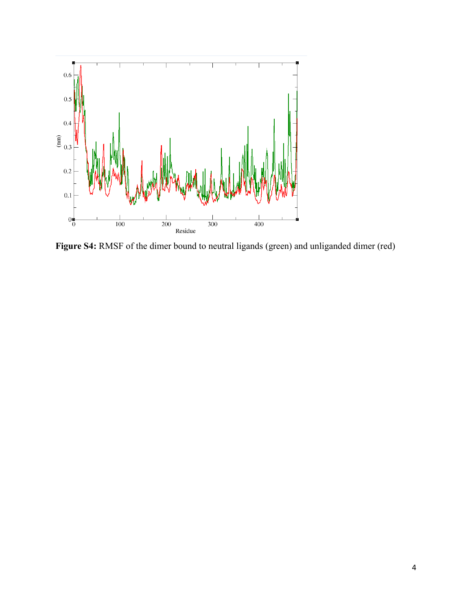

**Figure S4:** RMSF of the dimer bound to neutral ligands (green) and unliganded dimer (red)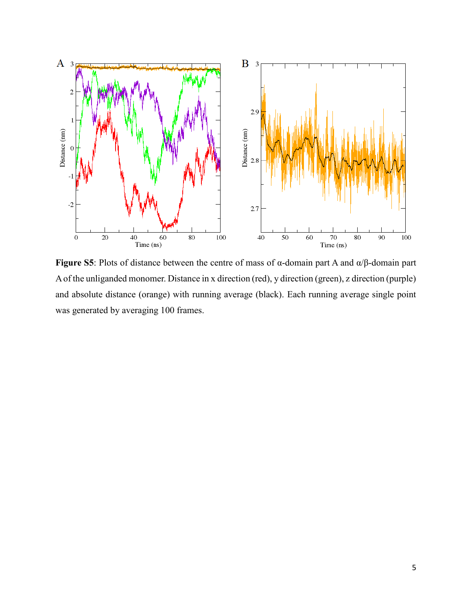

**Figure S5**: Plots of distance between the centre of mass of α-domain part A and α/β-domain part A of the unliganded monomer. Distance in x direction (red), y direction (green), z direction (purple) and absolute distance (orange) with running average (black). Each running average single point was generated by averaging 100 frames.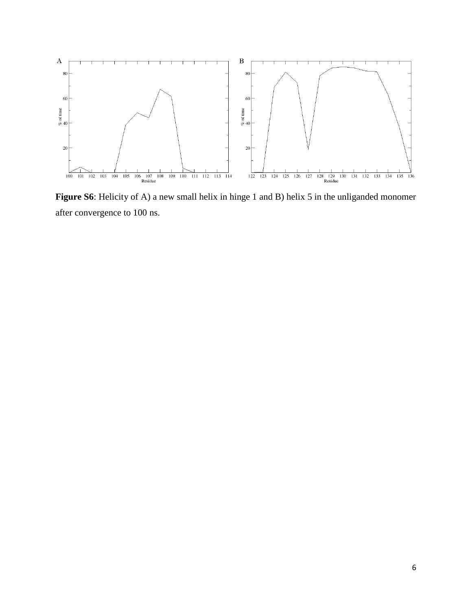

Figure S6: Helicity of A) a new small helix in hinge 1 and B) helix 5 in the unliganded monomer after convergence to 100 ns.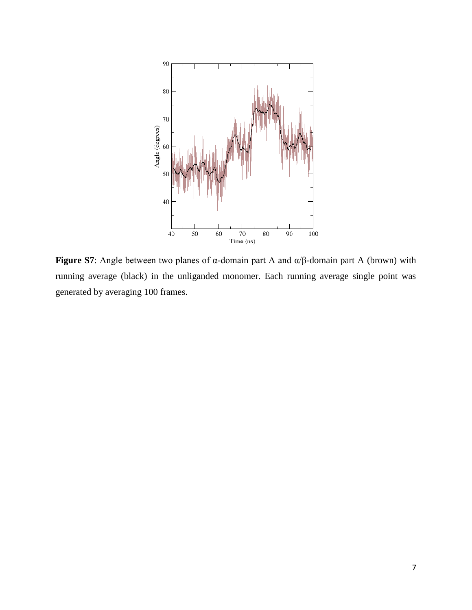

**Figure S7**: Angle between two planes of α-domain part A and α/β-domain part A (brown) with running average (black) in the unliganded monomer. Each running average single point was generated by averaging 100 frames.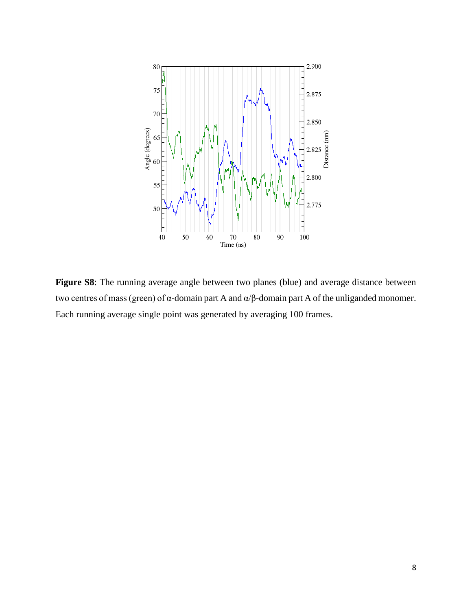

**Figure S8**: The running average angle between two planes (blue) and average distance between two centres of mass (green) of α-domain part A and α/β-domain part A of the unliganded monomer. Each running average single point was generated by averaging 100 frames.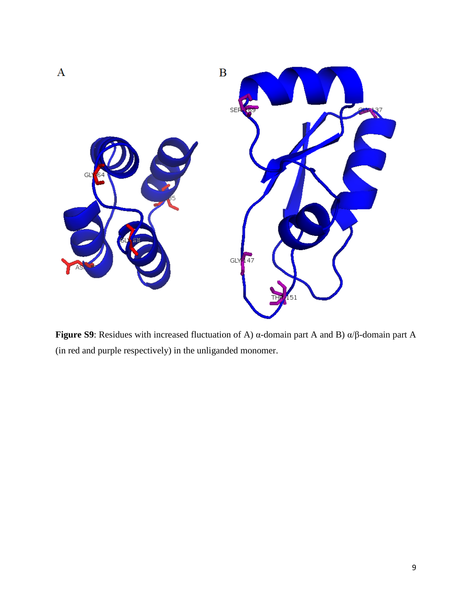

**Figure S9**: Residues with increased fluctuation of A) α-domain part A and B) α/β-domain part A (in red and purple respectively) in the unliganded monomer.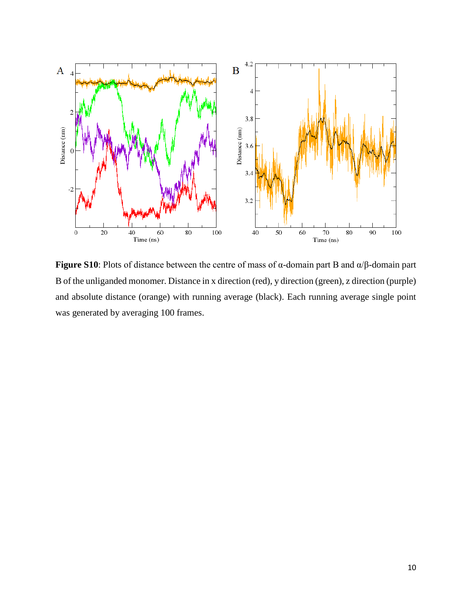

**Figure S10**: Plots of distance between the centre of mass of α-domain part B and α/β-domain part B of the unliganded monomer. Distance in x direction (red), y direction (green), z direction (purple) and absolute distance (orange) with running average (black). Each running average single point was generated by averaging 100 frames.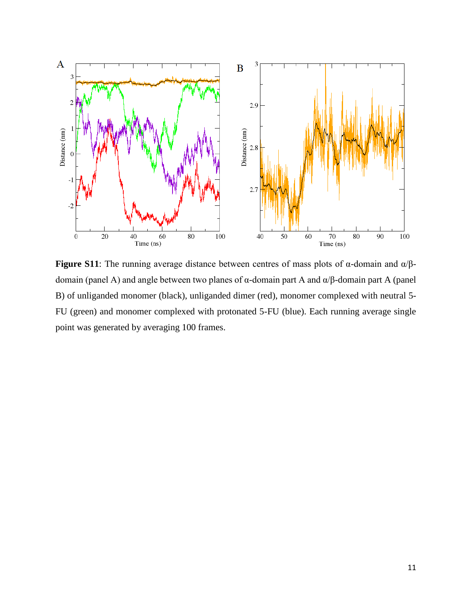

**Figure S11**: The running average distance between centres of mass plots of  $\alpha$ -domain and  $\alpha/\beta$ domain (panel A) and angle between two planes of α-domain part A and α/β-domain part A (panel B) of unliganded monomer (black), unliganded dimer (red), monomer complexed with neutral 5- FU (green) and monomer complexed with protonated 5-FU (blue). Each running average single point was generated by averaging 100 frames.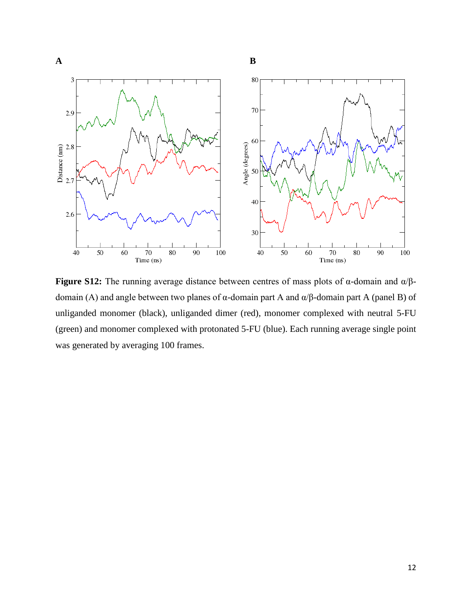

**Figure S12:** The running average distance between centres of mass plots of α-domain and α/βdomain (A) and angle between two planes of α-domain part A and α/β-domain part A (panel B) of unliganded monomer (black), unliganded dimer (red), monomer complexed with neutral 5-FU (green) and monomer complexed with protonated 5-FU (blue). Each running average single point was generated by averaging 100 frames.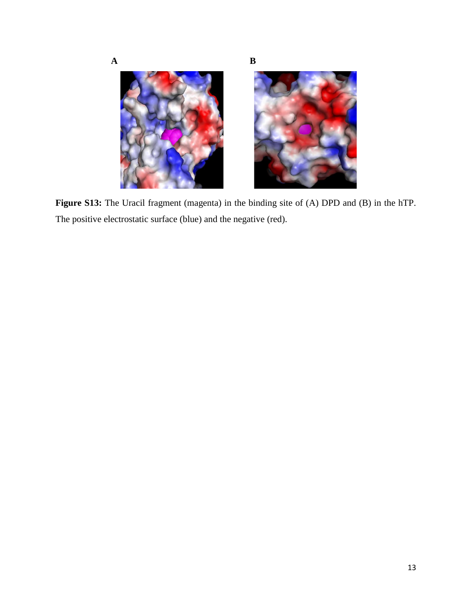

**Figure S13:** The Uracil fragment (magenta) in the binding site of (A) DPD and (B) in the hTP. The positive electrostatic surface (blue) and the negative (red).